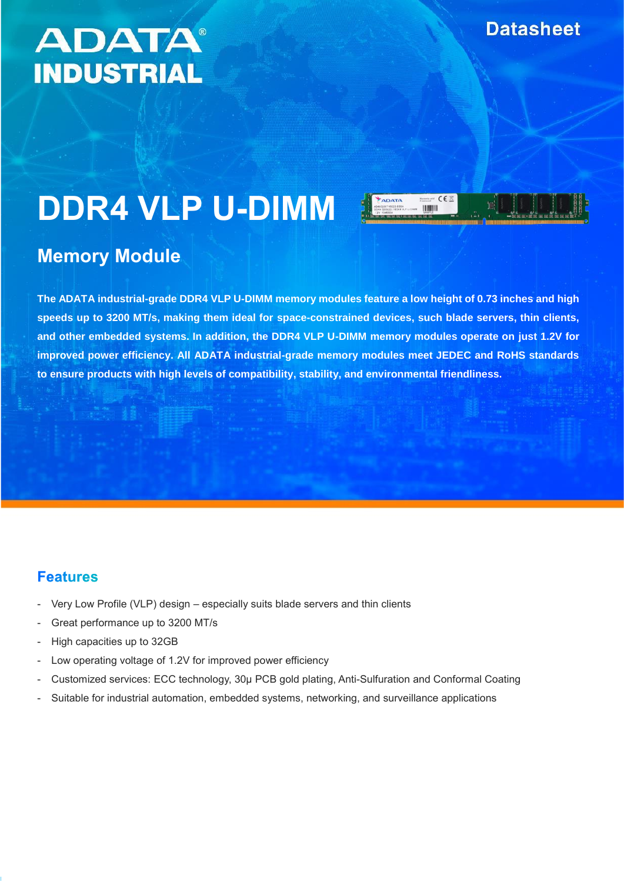## **ADATA® INDUSTRIAL**

# **DDR4 VLP U-DIMM**

### **Memory Module**

**The ADATA industrial-grade DDR4 VLP U-DIMM memory modules feature a low height of 0.73 inches and high speeds up to 3200 MT/s, making them ideal for space-constrained devices, such blade servers, thin clients, and other embedded systems. In addition, the DDR4 VLP U-DIMM memory modules operate on just 1.2V for improved power efficiency. All ADATA industrial-grade memory modules meet JEDEC and RoHS standards to ensure products with high levels of compatibility, stability, and environmental friendliness.**

#### **Features**

- Very Low Profile (VLP) design especially suits blade servers and thin clients
- Great performance up to 3200 MT/s
- High capacities up to 32GB
- Low operating voltage of 1.2V for improved power efficiency
- Customized services: ECC technology, 30µ PCB gold plating, Anti-Sulfuration and Conformal Coating
- Suitable for industrial automation, embedded systems, networking, and surveillance applications